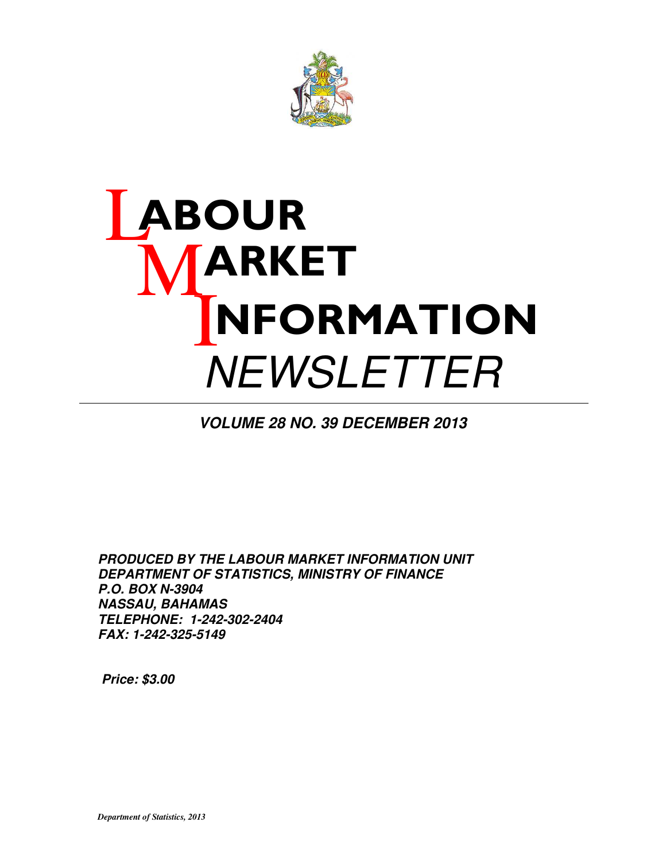

# **ABOUR ARKET**  $\mathbf I$ NFORMATION **NEWSLETTER**

**VOLUME 28 NO. 39 DECEMBER 2013** 

**PRODUCED BY THE LABOUR MARKET INFORMATION UNIT DEPARTMENT OF STATISTICS, MINISTRY OF FINANCE P.O. BOX N-3904 NASSAU, BAHAMAS TELEPHONE: 1-242-302-2404 FAX: 1-242-325-5149**

 **Price: \$3.00**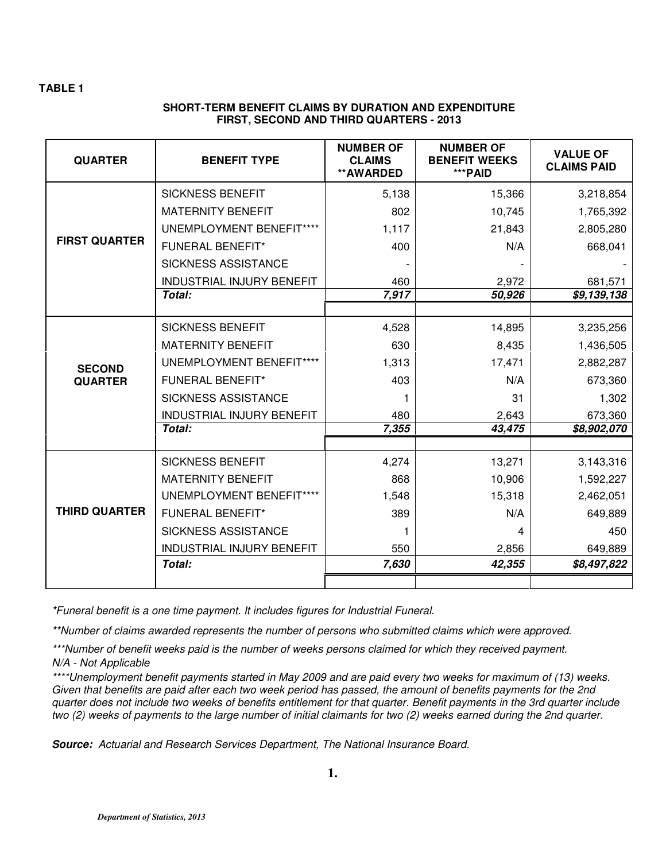## **SHORT-TERM BENEFIT CLAIMS BY DURATION AND EXPENDITURE FIRST, SECOND AND THIRD QUARTERS - 2013**

| <b>QUARTER</b>       | <b>BENEFIT TYPE</b>              | <b>NUMBER OF</b><br><b>CLAIMS</b><br>**AWARDED | <b>NUMBER OF</b><br><b>BENEFIT WEEKS</b><br>***PAID | <b>VALUE OF</b><br><b>CLAIMS PAID</b> |
|----------------------|----------------------------------|------------------------------------------------|-----------------------------------------------------|---------------------------------------|
|                      | <b>SICKNESS BENEFIT</b>          | 5,138                                          | 15,366                                              | 3,218,854                             |
|                      | <b>MATERNITY BENEFIT</b>         | 802                                            | 10,745                                              | 1,765,392                             |
|                      | <b>UNEMPLOYMENT BENEFIT****</b>  | 1,117                                          | 21,843                                              | 2,805,280                             |
| <b>FIRST QUARTER</b> | <b>FUNERAL BENEFIT*</b>          | 400                                            | N/A                                                 | 668,041                               |
|                      | <b>SICKNESS ASSISTANCE</b>       |                                                |                                                     |                                       |
|                      | <b>INDUSTRIAL INJURY BENEFIT</b> | 460                                            | 2,972                                               | 681,571                               |
|                      | Total:                           | 7,917                                          | 50,926                                              | $\overline{89}$ , 139, 138            |
|                      |                                  |                                                |                                                     |                                       |
|                      | <b>SICKNESS BENEFIT</b>          | 4,528                                          | 14,895                                              | 3,235,256                             |
|                      | <b>MATERNITY BENEFIT</b>         | 630                                            | 8,435                                               | 1,436,505                             |
| <b>SECOND</b>        | UNEMPLOYMENT BENEFIT****         | 1,313                                          | 17,471                                              | 2,882,287                             |
| <b>QUARTER</b>       | <b>FUNERAL BENEFIT*</b>          | 403                                            | N/A                                                 | 673,360                               |
|                      | <b>SICKNESS ASSISTANCE</b>       |                                                | 31                                                  | 1,302                                 |
|                      | <b>INDUSTRIAL INJURY BENEFIT</b> | 480                                            | 2,643                                               | 673,360                               |
|                      | Total:                           | 7,355                                          | 43,475                                              | \$8,902,070                           |
|                      | <b>SICKNESS BENEFIT</b>          | 4,274                                          | 13,271                                              | 3,143,316                             |
|                      | <b>MATERNITY BENEFIT</b>         | 868                                            | 10,906                                              | 1,592,227                             |
|                      | UNEMPLOYMENT BENEFIT****         | 1,548                                          | 15,318                                              | 2,462,051                             |
| <b>THIRD QUARTER</b> | <b>FUNERAL BENEFIT*</b>          | 389                                            | N/A                                                 | 649,889                               |
|                      | <b>SICKNESS ASSISTANCE</b>       | 1                                              | 4                                                   | 450                                   |
|                      | <b>INDUSTRIAL INJURY BENEFIT</b> | 550                                            | 2,856                                               | 649,889                               |
|                      | Total:                           | 7,630                                          | 42,355                                              | \$8,497,822                           |
|                      |                                  |                                                |                                                     |                                       |

\*Funeral benefit is a one time payment. It includes figures for Industrial Funeral.

\*\*Number of claims awarded represents the number of persons who submitted claims which were approved.

\*\*\*Number of benefit weeks paid is the number of weeks persons claimed for which they received payment. N/A - Not Applicable

\*\*\*\*Unemployment benefit payments started in May 2009 and are paid every two weeks for maximum of (13) weeks. Given that benefits are paid after each two week period has passed, the amount of benefits payments for the 2nd quarter does not include two weeks of benefits entitlement for that quarter. Benefit payments in the 3rd quarter include two (2) weeks of payments to the large number of initial claimants for two (2) weeks earned during the 2nd quarter.

**Source:** Actuarial and Research Services Department, The National Insurance Board.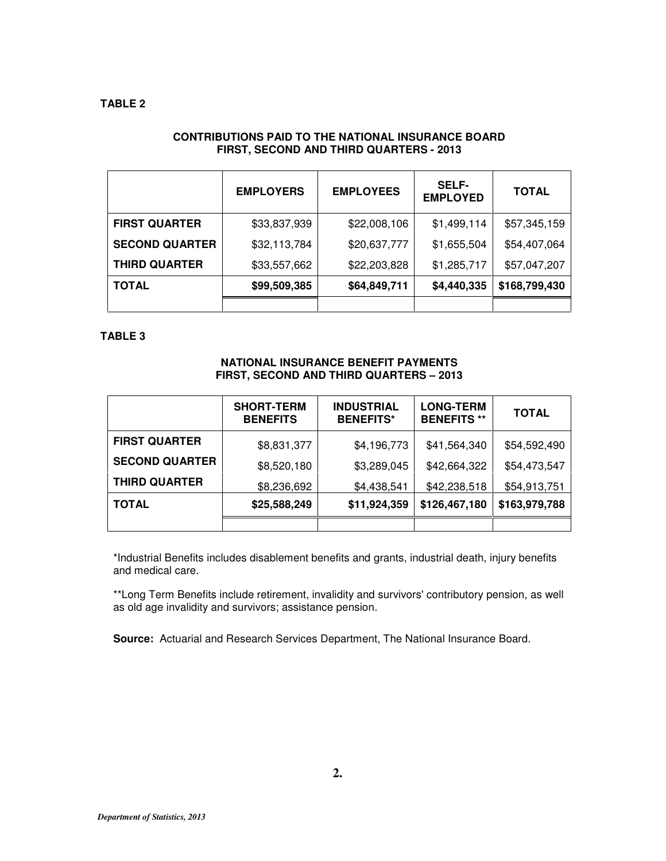## **CONTRIBUTIONS PAID TO THE NATIONAL INSURANCE BOARD FIRST, SECOND AND THIRD QUARTERS - 2013**

|                       | <b>EMPLOYERS</b> | <b>EMPLOYEES</b> | <b>SELF-</b><br><b>EMPLOYED</b> | <b>TOTAL</b>  |
|-----------------------|------------------|------------------|---------------------------------|---------------|
| <b>FIRST QUARTER</b>  | \$33,837,939     | \$22,008,106     | \$1,499,114                     | \$57,345,159  |
| <b>SECOND QUARTER</b> | \$32,113,784     | \$20,637,777     | \$1,655,504                     | \$54,407,064  |
| <b>THIRD QUARTER</b>  | \$33,557,662     | \$22,203,828     | \$1,285,717                     | \$57,047,207  |
| <b>TOTAL</b>          | \$99,509,385     | \$64,849,711     | \$4,440,335                     | \$168,799,430 |
|                       |                  |                  |                                 |               |

## **TABLE 3**

## **NATIONAL INSURANCE BENEFIT PAYMENTS FIRST, SECOND AND THIRD QUARTERS – 2013**

|                       | <b>SHORT-TERM</b><br><b>BENEFITS</b> | <b>INDUSTRIAL</b><br><b>BENEFITS*</b> | <b>LONG-TERM</b><br><b>BENEFITS**</b> | <b>TOTAL</b>  |
|-----------------------|--------------------------------------|---------------------------------------|---------------------------------------|---------------|
| <b>FIRST QUARTER</b>  | \$8,831,377                          | \$4,196,773                           | \$41,564,340                          | \$54,592,490  |
| <b>SECOND QUARTER</b> | \$8,520,180                          | \$3,289,045                           | \$42,664,322                          | \$54,473,547  |
| <b>THIRD QUARTER</b>  | \$8,236,692                          | \$4,438,541                           | \$42,238,518                          | \$54,913,751  |
| <b>TOTAL</b>          | \$25,588,249                         | \$11,924,359                          | \$126,467,180                         | \$163,979,788 |
|                       |                                      |                                       |                                       |               |

\*Industrial Benefits includes disablement benefits and grants, industrial death, injury benefits and medical care.

\*\*Long Term Benefits include retirement, invalidity and survivors' contributory pension, as well as old age invalidity and survivors; assistance pension.

**Source:** Actuarial and Research Services Department, The National Insurance Board.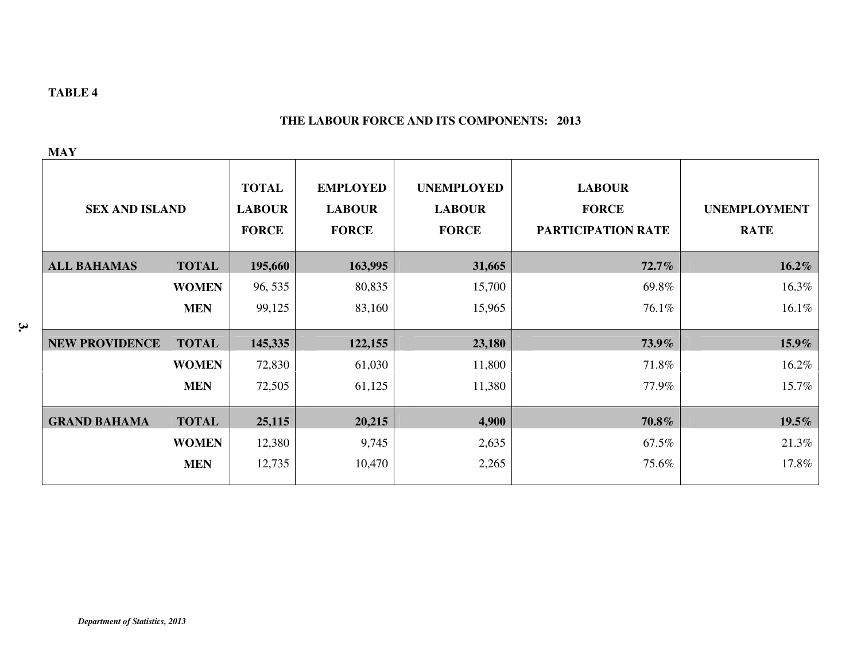## **THE LABOUR FORCE AND ITS COMPONENTS: 2013**

| ٠ |  |
|---|--|

| <b>SEX AND ISLAND</b> |              | <b>TOTAL</b><br><b>LABOUR</b><br><b>FORCE</b> | <b>EMPLOYED</b><br><b>LABOUR</b><br><b>FORCE</b> | <b>UNEMPLOYED</b><br><b>LABOUR</b><br><b>FORCE</b> | <b>LABOUR</b><br><b>FORCE</b><br>PARTICIPATION RATE | <b>UNEMPLOYMENT</b><br><b>RATE</b> |
|-----------------------|--------------|-----------------------------------------------|--------------------------------------------------|----------------------------------------------------|-----------------------------------------------------|------------------------------------|
| <b>ALL BAHAMAS</b>    | <b>TOTAL</b> | 195,660                                       | 163,995                                          | 31,665                                             | $72.7\%$                                            | $16.2\%$                           |
|                       | <b>WOMEN</b> | 96, 535                                       | 80,835                                           | 15,700                                             | 69.8%                                               | 16.3%                              |
|                       | <b>MEN</b>   | 99,125                                        | 83,160                                           | 15,965                                             | 76.1%                                               | 16.1%                              |
| <b>NEW PROVIDENCE</b> | <b>TOTAL</b> | 145,335                                       | 122,155                                          | 23,180                                             | 73.9%                                               | 15.9%                              |
|                       | <b>WOMEN</b> | 72,830                                        | 61,030                                           | 11,800                                             | 71.8%                                               | 16.2%                              |
|                       | <b>MEN</b>   | 72,505                                        | 61,125                                           | 11,380                                             | 77.9%                                               | 15.7%                              |
| <b>GRAND BAHAMA</b>   | <b>TOTAL</b> | 25,115                                        | 20,215                                           | 4,900                                              | 70.8%                                               | 19.5%                              |
|                       | <b>WOMEN</b> | 12,380                                        | 9,745                                            | 2,635                                              | 67.5%                                               | 21.3%                              |
|                       | <b>MEN</b>   | 12,735                                        | 10,470                                           | 2,265                                              | 75.6%                                               | 17.8%                              |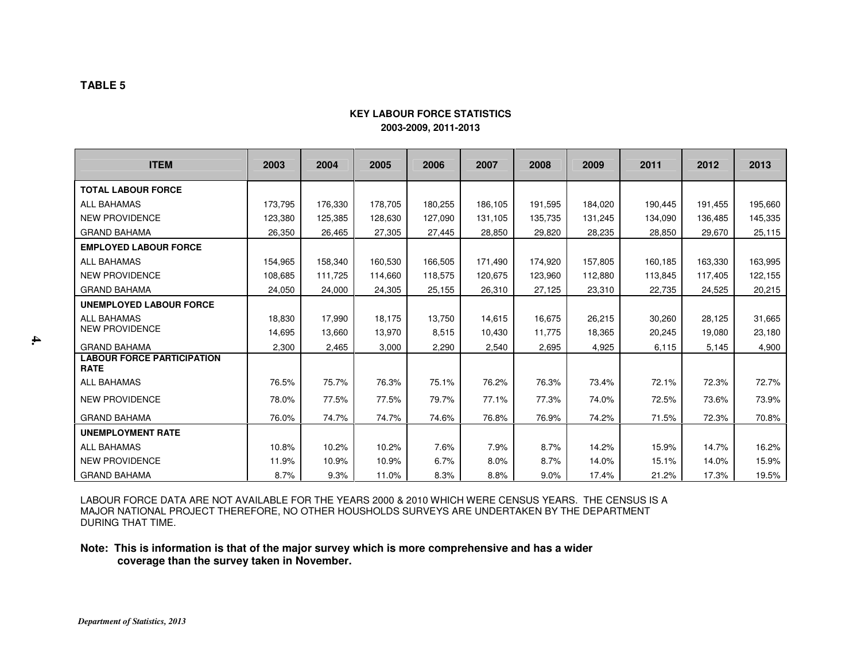## **KEY LABOUR FORCE STATISTICS2003-2009, 2011-2013**

| <b>ITEM</b>                                      | 2003    | 2004    | 2005    | 2006    | 2007    | 2008    | 2009    | 2011    | 2012    | 2013    |
|--------------------------------------------------|---------|---------|---------|---------|---------|---------|---------|---------|---------|---------|
| <b>TOTAL LABOUR FORCE</b>                        |         |         |         |         |         |         |         |         |         |         |
| <b>ALL BAHAMAS</b>                               | 173.795 | 176,330 | 178,705 | 180,255 | 186,105 | 191,595 | 184,020 | 190,445 | 191,455 | 195,660 |
| <b>NEW PROVIDENCE</b>                            | 123.380 | 125,385 | 128,630 | 127.090 | 131,105 | 135.735 | 131,245 | 134,090 | 136,485 | 145,335 |
| <b>GRAND BAHAMA</b>                              | 26,350  | 26,465  | 27,305  | 27,445  | 28,850  | 29,820  | 28,235  | 28,850  | 29,670  | 25,115  |
| <b>EMPLOYED LABOUR FORCE</b>                     |         |         |         |         |         |         |         |         |         |         |
| <b>ALL BAHAMAS</b>                               | 154,965 | 158,340 | 160,530 | 166,505 | 171,490 | 174,920 | 157,805 | 160,185 | 163,330 | 163,995 |
| <b>NEW PROVIDENCE</b>                            | 108.685 | 111.725 | 114.660 | 118.575 | 120.675 | 123,960 | 112,880 | 113.845 | 117.405 | 122,155 |
| <b>GRAND BAHAMA</b>                              | 24,050  | 24,000  | 24,305  | 25,155  | 26,310  | 27,125  | 23,310  | 22,735  | 24,525  | 20,215  |
| <b>UNEMPLOYED LABOUR FORCE</b>                   |         |         |         |         |         |         |         |         |         |         |
| <b>ALL BAHAMAS</b>                               | 18,830  | 17,990  | 18,175  | 13,750  | 14,615  | 16,675  | 26,215  | 30,260  | 28.125  | 31,665  |
| <b>NEW PROVIDENCE</b>                            | 14,695  | 13,660  | 13,970  | 8,515   | 10,430  | 11,775  | 18,365  | 20,245  | 19,080  | 23,180  |
| <b>GRAND BAHAMA</b>                              | 2.300   | 2,465   | 3,000   | 2,290   | 2,540   | 2.695   | 4,925   | 6,115   | 5,145   | 4,900   |
| <b>LABOUR FORCE PARTICIPATION</b><br><b>RATE</b> |         |         |         |         |         |         |         |         |         |         |
| <b>ALL BAHAMAS</b>                               | 76.5%   | 75.7%   | 76.3%   | 75.1%   | 76.2%   | 76.3%   | 73.4%   | 72.1%   | 72.3%   | 72.7%   |
| <b>NEW PROVIDENCE</b>                            | 78.0%   | 77.5%   | 77.5%   | 79.7%   | 77.1%   | 77.3%   | 74.0%   | 72.5%   | 73.6%   | 73.9%   |
| <b>GRAND BAHAMA</b>                              | 76.0%   | 74.7%   | 74.7%   | 74.6%   | 76.8%   | 76.9%   | 74.2%   | 71.5%   | 72.3%   | 70.8%   |
| <b>UNEMPLOYMENT RATE</b>                         |         |         |         |         |         |         |         |         |         |         |
| <b>ALL BAHAMAS</b>                               | 10.8%   | 10.2%   | 10.2%   | 7.6%    | 7.9%    | 8.7%    | 14.2%   | 15.9%   | 14.7%   | 16.2%   |
| <b>NEW PROVIDENCE</b>                            | 11.9%   | 10.9%   | 10.9%   | 6.7%    | 8.0%    | 8.7%    | 14.0%   | 15.1%   | 14.0%   | 15.9%   |
| <b>GRAND BAHAMA</b>                              | 8.7%    | 9.3%    | 11.0%   | 8.3%    | 8.8%    | 9.0%    | 17.4%   | 21.2%   | 17.3%   | 19.5%   |

LABOUR FORCE DATA ARE NOT AVAILABLE FOR THE YEARS 2000 & 2010 WHICH WERE CENSUS YEARS. THE CENSUS IS A<br>MAJOR NATIONAL PROJECT THEREFORE, NO OTHER HOUSHOLDS SURVEYS ARE UNDERTAKEN BY THE DEPARTMENT DURING THAT TIME.

#### **Note: This is information is that of the major survey which is more comprehensive and has a wider coverage than the survey taken in November.**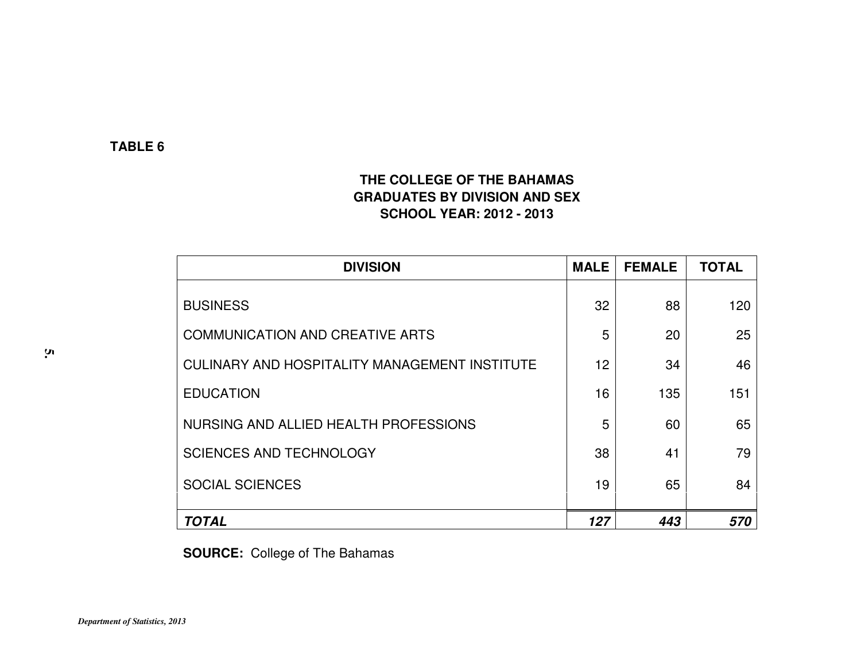# **THE COLLEGE OF THE BAHAMAS GRADUATES BY DIVISION AND SEX SCHOOL YEAR: 2012 - 2013**

| <b>DIVISION</b>                               | <b>MALE</b> | <b>FEMALE</b> | <b>TOTAL</b> |
|-----------------------------------------------|-------------|---------------|--------------|
| <b>BUSINESS</b>                               | 32          | 88            | 120          |
| <b>COMMUNICATION AND CREATIVE ARTS</b>        | 5           | 20            | 25           |
| CULINARY AND HOSPITALITY MANAGEMENT INSTITUTE | 12          | 34            | 46           |
| <b>EDUCATION</b>                              | 16          | 135           | 151          |
| NURSING AND ALLIED HEALTH PROFESSIONS         | 5           | 60            | 65           |
| <b>SCIENCES AND TECHNOLOGY</b>                | 38          | 41            | 79           |
| <b>SOCIAL SCIENCES</b>                        | 19          | 65            | 84           |
| <b>TOTAL</b>                                  | 127         | 443           | 570          |

**SOURCE:** College of The Bahamas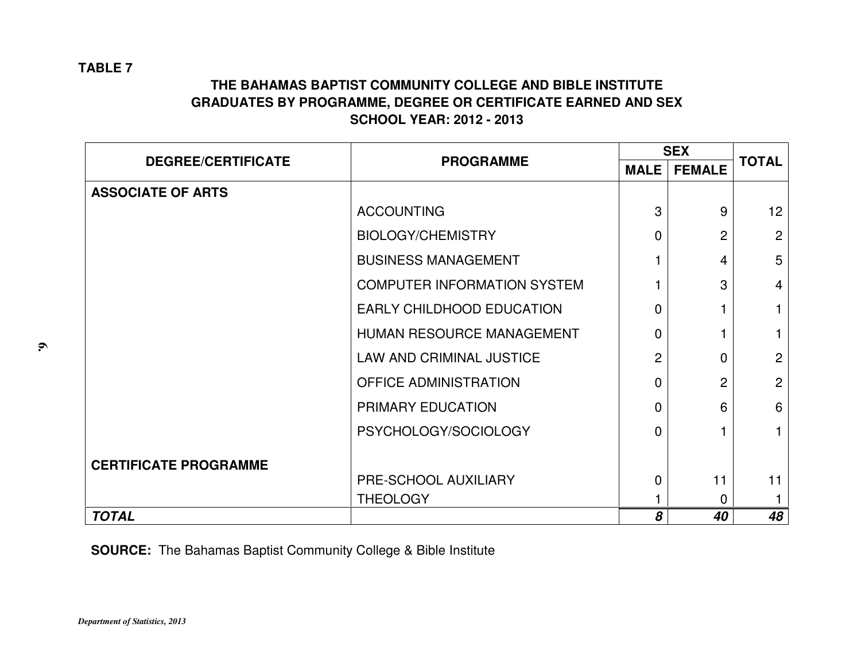# **THE BAHAMAS BAPTIST COMMUNITY COLLEGE AND BIBLE INSTITUTE GRADUATES BY PROGRAMME, DEGREE OR CERTIFICATE EARNED AND SEX SCHOOL YEAR: 2012 - 2013**

|                              |                                    | <b>SEX</b>     | <b>TOTAL</b>   |                 |
|------------------------------|------------------------------------|----------------|----------------|-----------------|
| <b>DEGREE/CERTIFICATE</b>    | <b>PROGRAMME</b>                   | <b>MALE</b>    | <b>FEMALE</b>  |                 |
| <b>ASSOCIATE OF ARTS</b>     |                                    |                |                |                 |
|                              | <b>ACCOUNTING</b>                  | 3              | 9              | 12 <sup>2</sup> |
|                              | <b>BIOLOGY/CHEMISTRY</b>           | $\Omega$       | $\overline{2}$ | 2               |
|                              | <b>BUSINESS MANAGEMENT</b>         |                | 4              | 5               |
|                              | <b>COMPUTER INFORMATION SYSTEM</b> |                | 3              | $\overline{4}$  |
|                              | <b>EARLY CHILDHOOD EDUCATION</b>   | 0              |                | 1               |
|                              | HUMAN RESOURCE MANAGEMENT          | 0              |                |                 |
|                              | <b>LAW AND CRIMINAL JUSTICE</b>    | $\overline{2}$ | 0              | $\overline{2}$  |
|                              | <b>OFFICE ADMINISTRATION</b>       | $\Omega$       | $\overline{2}$ | 2               |
|                              | PRIMARY EDUCATION                  | 0              | 6              | 6               |
|                              | PSYCHOLOGY/SOCIOLOGY               | $\Omega$       |                | 1               |
| <b>CERTIFICATE PROGRAMME</b> |                                    |                |                |                 |
|                              | PRE-SCHOOL AUXILIARY               | $\mathbf{0}$   | 11             | 11              |
|                              | <b>THEOLOGY</b>                    |                | 0              |                 |
| <b>TOTAL</b>                 |                                    | 8              | 40             | 48              |

**SOURCE:** The Bahamas Baptist Community College & Bible Institute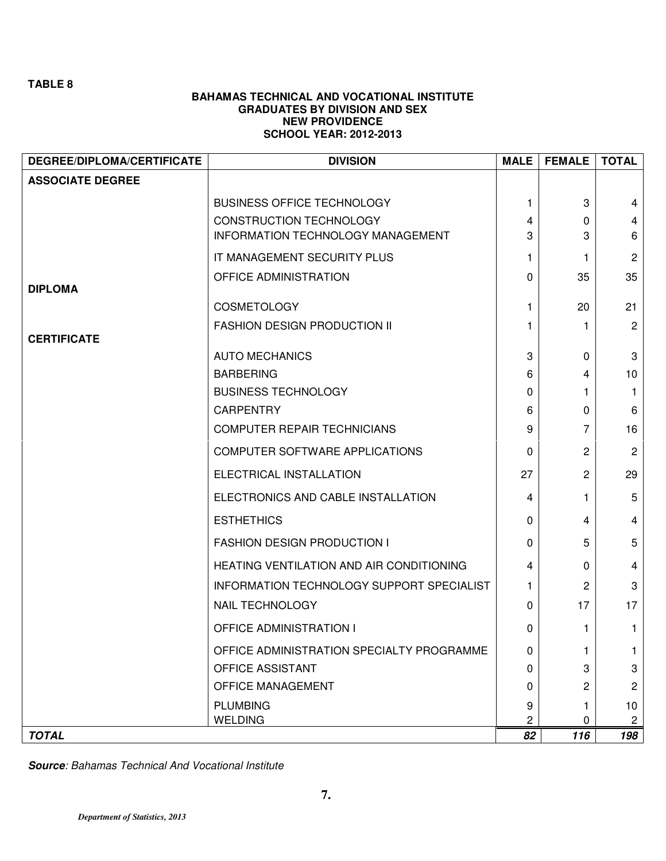## **BAHAMAS TECHNICAL AND VOCATIONAL INSTITUTE GRADUATES BY DIVISION AND SEX NEW PROVIDENCE SCHOOL YEAR: 2012-2013**

| <b>ASSOCIATE DEGREE</b><br><b>BUSINESS OFFICE TECHNOLOGY</b><br>3<br>1.<br>4<br>CONSTRUCTION TECHNOLOGY<br>4<br>0<br>4<br>INFORMATION TECHNOLOGY MANAGEMENT<br>3<br>3<br>6<br>IT MANAGEMENT SECURITY PLUS<br>$\overline{2}$<br>1.<br>1.<br>OFFICE ADMINISTRATION<br>35<br>35<br>0<br><b>DIPLOMA</b><br><b>COSMETOLOGY</b><br>20<br>21<br>1<br><b>FASHION DESIGN PRODUCTION II</b><br>$\overline{2}$<br>1.<br>1.<br><b>CERTIFICATE</b><br><b>AUTO MECHANICS</b><br>3<br>3<br>0<br><b>BARBERING</b><br>10 <sup>1</sup><br>6<br>4<br><b>BUSINESS TECHNOLOGY</b><br>$\mathbf{1}$<br>0<br>1.<br><b>CARPENTRY</b><br>6<br>6<br>0<br>16<br><b>COMPUTER REPAIR TECHNICIANS</b><br>7<br>9<br>COMPUTER SOFTWARE APPLICATIONS<br>2<br>$\overline{2}$<br>0<br>ELECTRICAL INSTALLATION<br>27<br>2<br>29<br>ELECTRONICS AND CABLE INSTALLATION<br>5<br>4<br>1.<br><b>ESTHETHICS</b><br>4<br>0<br>4<br>5<br><b>FASHION DESIGN PRODUCTION I</b><br>5<br>0<br>HEATING VENTILATION AND AIR CONDITIONING<br>$\overline{4}$<br>4<br>0<br>INFORMATION TECHNOLOGY SUPPORT SPECIALIST<br>3<br>2<br>1.<br>17<br><b>NAIL TECHNOLOGY</b><br>17<br>0<br><b>OFFICE ADMINISTRATION I</b><br>$\mathbf 1$<br>0<br>1.<br>OFFICE ADMINISTRATION SPECIALTY PROGRAMME<br>0<br>1.<br>OFFICE ASSISTANT<br>3<br>3<br>0<br>$\mathbf{2}$<br>OFFICE MANAGEMENT<br>2<br>0<br><b>PLUMBING</b><br>10 <sub>1</sub><br>9<br>2<br><b>WELDING</b><br>0<br>$\mathbf{2}$<br><b>TOTAL</b><br>82<br>116<br>198 | <b>DEGREE/DIPLOMA/CERTIFICATE</b> | <b>DIVISION</b> | <b>MALE</b> | <b>FEMALE</b> | <b>TOTAL</b> |
|------------------------------------------------------------------------------------------------------------------------------------------------------------------------------------------------------------------------------------------------------------------------------------------------------------------------------------------------------------------------------------------------------------------------------------------------------------------------------------------------------------------------------------------------------------------------------------------------------------------------------------------------------------------------------------------------------------------------------------------------------------------------------------------------------------------------------------------------------------------------------------------------------------------------------------------------------------------------------------------------------------------------------------------------------------------------------------------------------------------------------------------------------------------------------------------------------------------------------------------------------------------------------------------------------------------------------------------------------------------------------------------------------------------------------------------------------------|-----------------------------------|-----------------|-------------|---------------|--------------|
|                                                                                                                                                                                                                                                                                                                                                                                                                                                                                                                                                                                                                                                                                                                                                                                                                                                                                                                                                                                                                                                                                                                                                                                                                                                                                                                                                                                                                                                            |                                   |                 |             |               |              |
|                                                                                                                                                                                                                                                                                                                                                                                                                                                                                                                                                                                                                                                                                                                                                                                                                                                                                                                                                                                                                                                                                                                                                                                                                                                                                                                                                                                                                                                            |                                   |                 |             |               |              |
|                                                                                                                                                                                                                                                                                                                                                                                                                                                                                                                                                                                                                                                                                                                                                                                                                                                                                                                                                                                                                                                                                                                                                                                                                                                                                                                                                                                                                                                            |                                   |                 |             |               |              |
|                                                                                                                                                                                                                                                                                                                                                                                                                                                                                                                                                                                                                                                                                                                                                                                                                                                                                                                                                                                                                                                                                                                                                                                                                                                                                                                                                                                                                                                            |                                   |                 |             |               |              |
|                                                                                                                                                                                                                                                                                                                                                                                                                                                                                                                                                                                                                                                                                                                                                                                                                                                                                                                                                                                                                                                                                                                                                                                                                                                                                                                                                                                                                                                            |                                   |                 |             |               |              |
|                                                                                                                                                                                                                                                                                                                                                                                                                                                                                                                                                                                                                                                                                                                                                                                                                                                                                                                                                                                                                                                                                                                                                                                                                                                                                                                                                                                                                                                            |                                   |                 |             |               |              |
|                                                                                                                                                                                                                                                                                                                                                                                                                                                                                                                                                                                                                                                                                                                                                                                                                                                                                                                                                                                                                                                                                                                                                                                                                                                                                                                                                                                                                                                            |                                   |                 |             |               |              |
|                                                                                                                                                                                                                                                                                                                                                                                                                                                                                                                                                                                                                                                                                                                                                                                                                                                                                                                                                                                                                                                                                                                                                                                                                                                                                                                                                                                                                                                            |                                   |                 |             |               |              |
|                                                                                                                                                                                                                                                                                                                                                                                                                                                                                                                                                                                                                                                                                                                                                                                                                                                                                                                                                                                                                                                                                                                                                                                                                                                                                                                                                                                                                                                            |                                   |                 |             |               |              |
|                                                                                                                                                                                                                                                                                                                                                                                                                                                                                                                                                                                                                                                                                                                                                                                                                                                                                                                                                                                                                                                                                                                                                                                                                                                                                                                                                                                                                                                            |                                   |                 |             |               |              |
|                                                                                                                                                                                                                                                                                                                                                                                                                                                                                                                                                                                                                                                                                                                                                                                                                                                                                                                                                                                                                                                                                                                                                                                                                                                                                                                                                                                                                                                            |                                   |                 |             |               |              |
|                                                                                                                                                                                                                                                                                                                                                                                                                                                                                                                                                                                                                                                                                                                                                                                                                                                                                                                                                                                                                                                                                                                                                                                                                                                                                                                                                                                                                                                            |                                   |                 |             |               |              |
|                                                                                                                                                                                                                                                                                                                                                                                                                                                                                                                                                                                                                                                                                                                                                                                                                                                                                                                                                                                                                                                                                                                                                                                                                                                                                                                                                                                                                                                            |                                   |                 |             |               |              |
|                                                                                                                                                                                                                                                                                                                                                                                                                                                                                                                                                                                                                                                                                                                                                                                                                                                                                                                                                                                                                                                                                                                                                                                                                                                                                                                                                                                                                                                            |                                   |                 |             |               |              |
|                                                                                                                                                                                                                                                                                                                                                                                                                                                                                                                                                                                                                                                                                                                                                                                                                                                                                                                                                                                                                                                                                                                                                                                                                                                                                                                                                                                                                                                            |                                   |                 |             |               |              |
|                                                                                                                                                                                                                                                                                                                                                                                                                                                                                                                                                                                                                                                                                                                                                                                                                                                                                                                                                                                                                                                                                                                                                                                                                                                                                                                                                                                                                                                            |                                   |                 |             |               |              |
|                                                                                                                                                                                                                                                                                                                                                                                                                                                                                                                                                                                                                                                                                                                                                                                                                                                                                                                                                                                                                                                                                                                                                                                                                                                                                                                                                                                                                                                            |                                   |                 |             |               |              |
|                                                                                                                                                                                                                                                                                                                                                                                                                                                                                                                                                                                                                                                                                                                                                                                                                                                                                                                                                                                                                                                                                                                                                                                                                                                                                                                                                                                                                                                            |                                   |                 |             |               |              |
|                                                                                                                                                                                                                                                                                                                                                                                                                                                                                                                                                                                                                                                                                                                                                                                                                                                                                                                                                                                                                                                                                                                                                                                                                                                                                                                                                                                                                                                            |                                   |                 |             |               |              |
|                                                                                                                                                                                                                                                                                                                                                                                                                                                                                                                                                                                                                                                                                                                                                                                                                                                                                                                                                                                                                                                                                                                                                                                                                                                                                                                                                                                                                                                            |                                   |                 |             |               |              |
|                                                                                                                                                                                                                                                                                                                                                                                                                                                                                                                                                                                                                                                                                                                                                                                                                                                                                                                                                                                                                                                                                                                                                                                                                                                                                                                                                                                                                                                            |                                   |                 |             |               |              |
|                                                                                                                                                                                                                                                                                                                                                                                                                                                                                                                                                                                                                                                                                                                                                                                                                                                                                                                                                                                                                                                                                                                                                                                                                                                                                                                                                                                                                                                            |                                   |                 |             |               |              |
|                                                                                                                                                                                                                                                                                                                                                                                                                                                                                                                                                                                                                                                                                                                                                                                                                                                                                                                                                                                                                                                                                                                                                                                                                                                                                                                                                                                                                                                            |                                   |                 |             |               |              |
|                                                                                                                                                                                                                                                                                                                                                                                                                                                                                                                                                                                                                                                                                                                                                                                                                                                                                                                                                                                                                                                                                                                                                                                                                                                                                                                                                                                                                                                            |                                   |                 |             |               |              |
|                                                                                                                                                                                                                                                                                                                                                                                                                                                                                                                                                                                                                                                                                                                                                                                                                                                                                                                                                                                                                                                                                                                                                                                                                                                                                                                                                                                                                                                            |                                   |                 |             |               |              |
|                                                                                                                                                                                                                                                                                                                                                                                                                                                                                                                                                                                                                                                                                                                                                                                                                                                                                                                                                                                                                                                                                                                                                                                                                                                                                                                                                                                                                                                            |                                   |                 |             |               |              |
|                                                                                                                                                                                                                                                                                                                                                                                                                                                                                                                                                                                                                                                                                                                                                                                                                                                                                                                                                                                                                                                                                                                                                                                                                                                                                                                                                                                                                                                            |                                   |                 |             |               |              |
|                                                                                                                                                                                                                                                                                                                                                                                                                                                                                                                                                                                                                                                                                                                                                                                                                                                                                                                                                                                                                                                                                                                                                                                                                                                                                                                                                                                                                                                            |                                   |                 |             |               |              |

**Source: Bahamas Technical And Vocational Institute**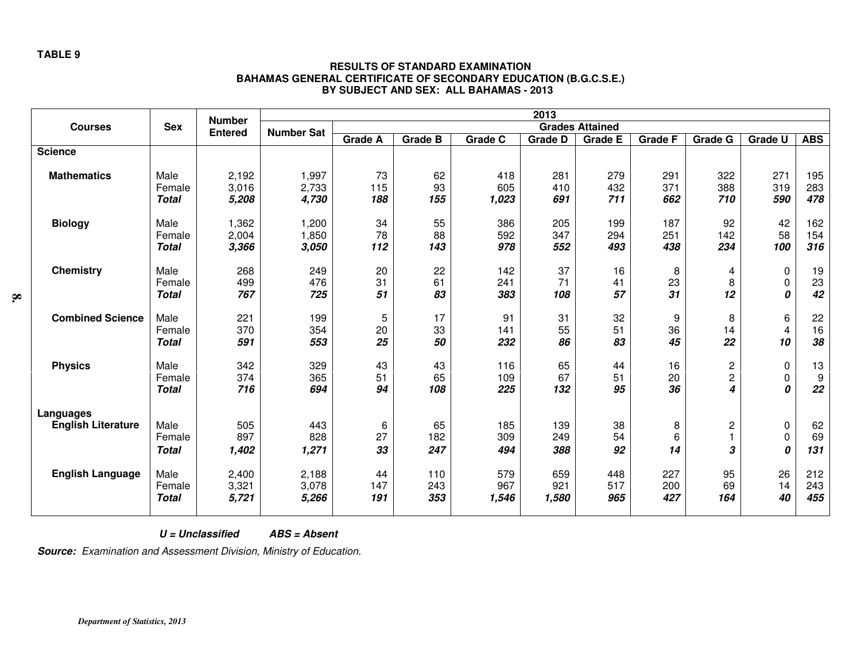|                                        |                                | <b>Number</b>           |                         |                  |                      |                     | 2013                |                        |                   |                    |                   |                              |
|----------------------------------------|--------------------------------|-------------------------|-------------------------|------------------|----------------------|---------------------|---------------------|------------------------|-------------------|--------------------|-------------------|------------------------------|
| <b>Courses</b>                         | <b>Sex</b>                     | <b>Entered</b>          | <b>Number Sat</b>       |                  |                      |                     |                     | <b>Grades Attained</b> |                   |                    |                   |                              |
|                                        |                                |                         |                         | <b>Grade A</b>   | Grade $\overline{B}$ | <b>Grade C</b>      | <b>Grade D</b>      | <b>Grade E</b>         | <b>Grade F</b>    | <b>Grade G</b>     | <b>Grade U</b>    | <b>ABS</b>                   |
| <b>Science</b>                         |                                |                         |                         |                  |                      |                     |                     |                        |                   |                    |                   |                              |
| <b>Mathematics</b>                     | Male<br>Female<br><b>Total</b> | 2,192<br>3,016<br>5,208 | 1,997<br>2,733<br>4,730 | 73<br>115<br>188 | 62<br>93<br>155      | 418<br>605<br>1,023 | 281<br>410<br>691   | 279<br>432<br>711      | 291<br>371<br>662 | 322<br>388<br>710  | 271<br>319<br>590 | 195<br>283<br>478            |
| <b>Biology</b>                         | Male<br>Female<br><b>Total</b> | 1,362<br>2,004<br>3,366 | 1,200<br>1,850<br>3,050 | 34<br>78<br>112  | 55<br>88<br>143      | 386<br>592<br>978   | 205<br>347<br>552   | 199<br>294<br>493      | 187<br>251<br>438 | 92<br>142<br>234   | 42<br>58<br>100   | 162<br>154<br>316            |
| <b>Chemistry</b>                       | Male<br>Female<br><b>Total</b> | 268<br>499<br>767       | 249<br>476<br>725       | 20<br>31<br>51   | 22<br>61<br>83       | 142<br>241<br>383   | 37<br>71<br>108     | 16<br>41<br>57         | 8<br>23<br>31     | 4<br>8<br>12       | 0<br>0<br>0       | 19<br>23<br>42               |
| <b>Combined Science</b>                | Male<br>Female<br><b>Total</b> | 221<br>370<br>591       | 199<br>354<br>553       | 5<br>20<br>25    | 17<br>33<br>50       | 91<br>141<br>232    | 31<br>55<br>86      | 32<br>51<br>83         | 9<br>36<br>45     | 8<br>14<br>22      | 6<br>4<br>10      | 22<br>16<br>38               |
| <b>Physics</b>                         | Male<br>Female<br><b>Total</b> | 342<br>374<br>716       | 329<br>365<br>694       | 43<br>51<br>94   | 43<br>65<br>108      | 116<br>109<br>225   | 65<br>67<br>132     | 44<br>51<br>95         | 16<br>20<br>36    | $\frac{2}{2}$<br>4 | 0<br>0<br>0       | 13<br>$\boldsymbol{9}$<br>22 |
| Languages<br><b>English Literature</b> | Male<br>Female<br><b>Total</b> | 505<br>897<br>1,402     | 443<br>828<br>1,271     | 6<br>27<br>33    | 65<br>182<br>247     | 185<br>309<br>494   | 139<br>249<br>388   | 38<br>54<br>92         | 8<br>6<br>14      | 2<br>3             | 0<br>0<br>0       | 62<br>69<br>131              |
| <b>English Language</b>                | Male<br>Female<br><b>Total</b> | 2,400<br>3,321<br>5,721 | 2,188<br>3,078<br>5,266 | 44<br>147<br>191 | 110<br>243<br>353    | 579<br>967<br>1,546 | 659<br>921<br>1,580 | 448<br>517<br>965      | 227<br>200<br>427 | 95<br>69<br>164    | 26<br>14<br>40    | 212<br>243<br>455            |

## **RESULTS OF STANDARD EXAMINATION BAHAMAS GENERAL CERTIFICATE OF SECONDARY EDUCATION (B.G.C.S.E.) BY SUBJECT AND SEX: ALL BAHAMAS - 2013**

 **U = Unclassified ABS = Absent** 

**Source:** Examination and Assessment Division, Ministry of Education.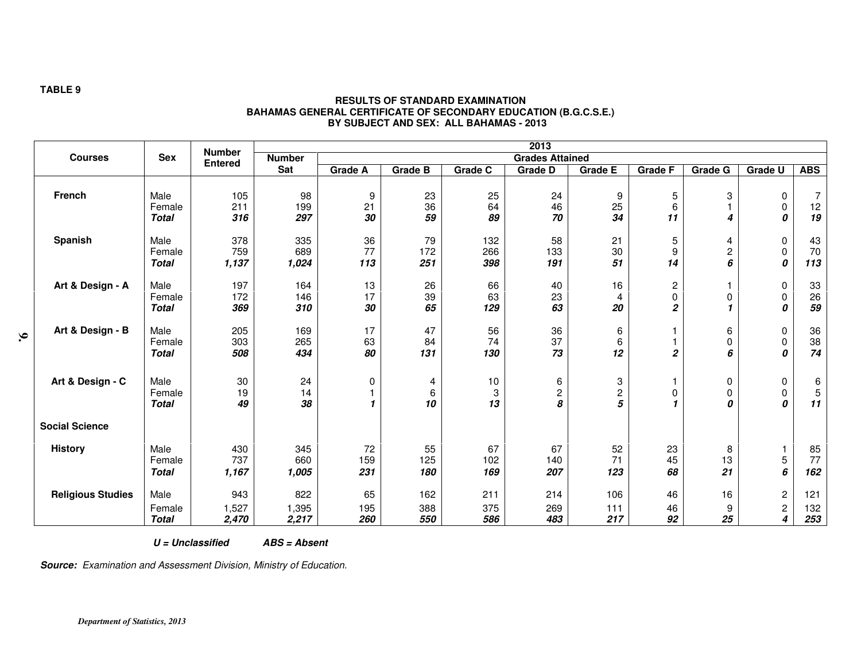|                          |                                | <b>Number</b>         | 2013                  |                   |                   |                   |                                   |                    |                                                                           |                          |                                         |                        |
|--------------------------|--------------------------------|-----------------------|-----------------------|-------------------|-------------------|-------------------|-----------------------------------|--------------------|---------------------------------------------------------------------------|--------------------------|-----------------------------------------|------------------------|
| <b>Courses</b>           | <b>Sex</b>                     | <b>Entered</b>        | <b>Number</b>         |                   |                   |                   | <b>Grades Attained</b>            |                    |                                                                           |                          |                                         |                        |
|                          |                                |                       | Sat                   | <b>Grade A</b>    | <b>Grade B</b>    | Grade C           | <b>Grade D</b>                    | <b>Grade E</b>     | <b>Grade F</b>                                                            | Grade G                  | <b>Grade U</b>                          | <b>ABS</b>             |
| <b>French</b>            | Male<br>Female<br><b>Total</b> | 105<br>211<br>316     | 98<br>199<br>297      | 9<br>21<br>30     | 23<br>36<br>59    | 25<br>64<br>89    | 24<br>46<br>70                    | 9<br>25<br>34      | 5<br>6<br>11                                                              | 3<br>4                   | $\pmb{0}$<br>0<br>0                     | 7<br>12<br>19          |
| Spanish                  | Male<br>Female<br><b>Total</b> | 378<br>759<br>1,137   | 335<br>689<br>1,024   | 36<br>77<br>113   | 79<br>172<br>251  | 132<br>266<br>398 | 58<br>133<br>191                  | 21<br>30<br>51     | $\mathbf 5$<br>9<br>14                                                    | 4<br>$\overline{c}$<br>6 | $\pmb{0}$<br>$\pmb{0}$<br>0             | 43<br>70<br>113        |
| Art & Design - A         | Male<br>Female<br><b>Total</b> | 197<br>172<br>369     | 164<br>146<br>310     | 13<br>17<br>30    | 26<br>39<br>65    | 66<br>63<br>129   | 40<br>23<br>63                    | 16<br>4<br>20      | $\overline{\mathbf{c}}$<br>$\mathsf{O}\xspace$<br>$\overline{\mathbf{c}}$ | 1<br>0                   | 0<br>$\pmb{0}$<br>0                     | 33<br>26<br>59         |
| Art & Design - B         | Male<br>Female<br><b>Total</b> | 205<br>303<br>508     | 169<br>265<br>434     | 17<br>63<br>80    | 47<br>84<br>131   | 56<br>74<br>130   | 36<br>37<br>73                    | 6<br>6<br>12       | $\boldsymbol{2}$                                                          | 6<br>0<br>6              | $\pmb{0}$<br>0<br>0                     | 36<br>38<br>74         |
| Art & Design - C         | Male<br>Female<br><b>Total</b> | 30<br>19<br>49        | 24<br>14<br>38        | 0<br>$\mathbf{1}$ | 4<br>6<br>10      | 10<br>3<br>13     | 6<br>$\overline{\mathbf{c}}$<br>8 | 3<br>$\frac{2}{5}$ | 0<br>$\mathbf{1}$                                                         | 0<br>0<br>0              | 0<br>0<br>0                             | 6<br>$\mathbf 5$<br>11 |
| <b>Social Science</b>    |                                |                       |                       |                   |                   |                   |                                   |                    |                                                                           |                          |                                         |                        |
| <b>History</b>           | Male<br>Female<br><b>Total</b> | 430<br>737<br>1,167   | 345<br>660<br>1,005   | 72<br>159<br>231  | 55<br>125<br>180  | 67<br>102<br>169  | 67<br>140<br>207                  | 52<br>71<br>123    | 23<br>45<br>68                                                            | 8<br>13<br>21            | $\mathbf 1$<br>5<br>6                   | 85<br>77<br>162        |
| <b>Religious Studies</b> | Male<br>Female<br><b>Total</b> | 943<br>1,527<br>2,470 | 822<br>1,395<br>2,217 | 65<br>195<br>260  | 162<br>388<br>550 | 211<br>375<br>586 | 214<br>269<br>483                 | 106<br>111<br>217  | 46<br>46<br>92                                                            | 16<br>9<br>25            | $\boldsymbol{2}$<br>$\overline{c}$<br>4 | 121<br>132<br>253      |

#### **RESULTS OF STANDARD EXAMINATION BAHAMAS GENERAL CERTIFICATE OF SECONDARY EDUCATION (B.G.C.S.E.) BY SUBJECT AND SEX: ALL BAHAMAS - 2013**

 **U = Unclassified ABS = Absent** 

**Source:** Examination and Assessment Division, Ministry of Education.

**TABLE 9**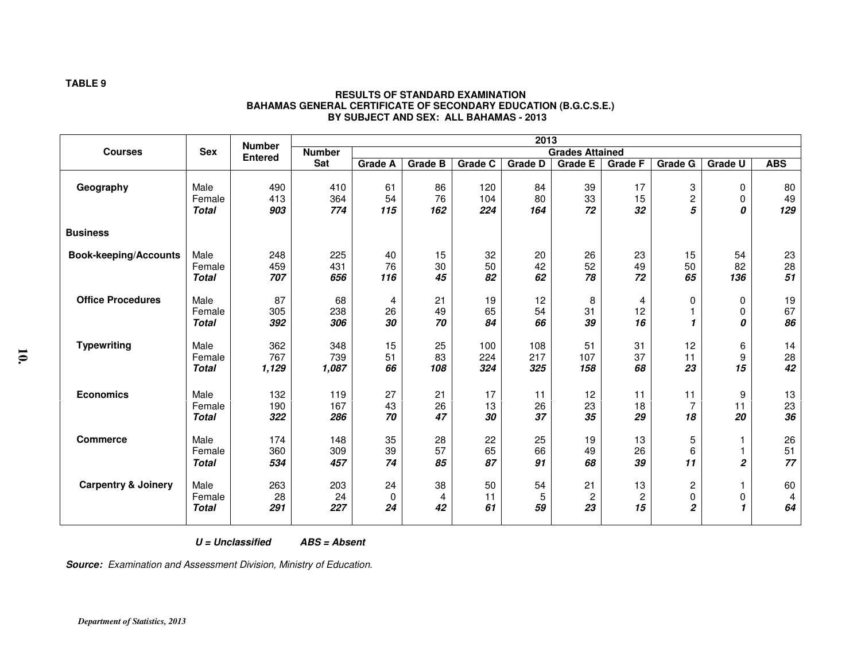|                                |                                | <b>Number</b>       |                     |                 |                 |                   | 2013              |                            |                |                          |                     |                 |
|--------------------------------|--------------------------------|---------------------|---------------------|-----------------|-----------------|-------------------|-------------------|----------------------------|----------------|--------------------------|---------------------|-----------------|
| <b>Courses</b>                 | <b>Sex</b>                     | <b>Entered</b>      | <b>Number</b>       |                 |                 |                   |                   | <b>Grades Attained</b>     |                |                          |                     |                 |
|                                |                                |                     | Sat                 | <b>Grade A</b>  | <b>Grade B</b>  | <b>Grade C</b>    | <b>Grade D</b>    | Grade E                    | <b>Grade F</b> | <b>Grade G</b>           | <b>Grade U</b>      | <b>ABS</b>      |
| Geography                      | Male<br>Female<br><b>Total</b> | 490<br>413<br>903   | 410<br>364<br>774   | 61<br>54<br>115 | 86<br>76<br>162 | 120<br>104<br>224 | 84<br>80<br>164   | 39<br>33<br>72             | 17<br>15<br>32 | 3<br>$\overline{c}$<br>5 | 0<br>0<br>0         | 80<br>49<br>129 |
| <b>Business</b>                |                                |                     |                     |                 |                 |                   |                   |                            |                |                          |                     |                 |
| <b>Book-keeping/Accounts</b>   | Male<br>Female<br><b>Total</b> | 248<br>459<br>707   | 225<br>431<br>656   | 40<br>76<br>116 | 15<br>30<br>45  | 32<br>50<br>82    | 20<br>42<br>62    | 26<br>52<br>78             | 23<br>49<br>72 | 15<br>50<br>65           | 54<br>82<br>136     | 23<br>28<br>51  |
| <b>Office Procedures</b>       | Male<br>Female<br><b>Total</b> | 87<br>305<br>392    | 68<br>238<br>306    | 4<br>26<br>30   | 21<br>49<br>70  | 19<br>65<br>84    | 12<br>54<br>66    | 8<br>31<br>39              | 4<br>12<br>16  | 0<br>1                   | 0<br>0<br>0         | 19<br>67<br>86  |
| <b>Typewriting</b>             | Male<br>Female<br><b>Total</b> | 362<br>767<br>1,129 | 348<br>739<br>1,087 | 15<br>51<br>66  | 25<br>83<br>108 | 100<br>224<br>324 | 108<br>217<br>325 | 51<br>107<br>158           | 31<br>37<br>68 | 12<br>11<br>23           | 6<br>9<br>15        | 14<br>28<br>42  |
| <b>Economics</b>               | Male<br>Female<br><b>Total</b> | 132<br>190<br>322   | 119<br>167<br>286   | 27<br>43<br>70  | 21<br>26<br>47  | 17<br>13<br>30    | 11<br>26<br>37    | 12<br>23<br>35             | 11<br>18<br>29 | 11<br>7<br>18            | 9<br>11<br>20       | 13<br>23<br>36  |
| <b>Commerce</b>                | Male<br>Female<br><b>Total</b> | 174<br>360<br>534   | 148<br>309<br>457   | 35<br>39<br>74  | 28<br>57<br>85  | 22<br>65<br>87    | 25<br>66<br>91    | 19<br>49<br>68             | 13<br>26<br>39 | 5<br>6<br>11             | 1<br>$\overline{c}$ | 26<br>51<br>77  |
| <b>Carpentry &amp; Joinery</b> | Male<br>Female<br><b>Total</b> | 263<br>28<br>291    | 203<br>24<br>227    | 24<br>0<br>24   | 38<br>4<br>42   | 50<br>11<br>61    | 54<br>5<br>59     | 21<br>$\overline{c}$<br>23 | 13<br>2<br>15  | 2<br>0<br>2              | 0<br>-1             | 60<br>4<br>64   |

#### **RESULTS OF STANDARD EXAMINATION BAHAMAS GENERAL CERTIFICATE OF SECONDARY EDUCATION (B.G.C.S.E.) BY SUBJECT AND SEX: ALL BAHAMAS - 2013**

 **U = Unclassified ABS = Absent** 

**Source:** Examination and Assessment Division, Ministry of Education.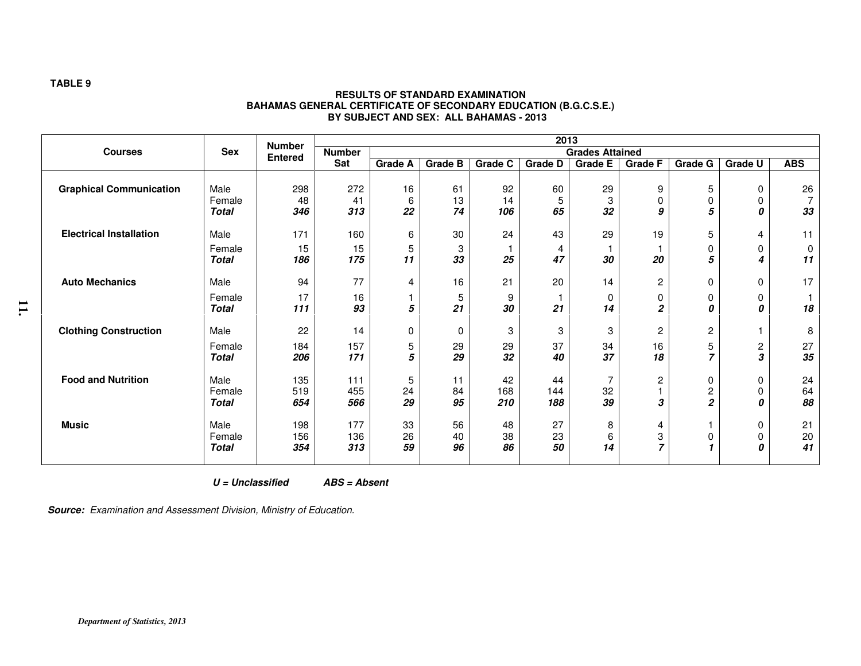|                                | <b>Sex</b>   | <b>Number</b><br><b>Entered</b> | 2013                                    |                |                |         |                |                |                |                |                |            |  |
|--------------------------------|--------------|---------------------------------|-----------------------------------------|----------------|----------------|---------|----------------|----------------|----------------|----------------|----------------|------------|--|
| <b>Courses</b>                 |              |                                 | <b>Number</b><br><b>Grades Attained</b> |                |                |         |                |                |                |                |                |            |  |
|                                |              |                                 | Sat                                     | <b>Grade A</b> | <b>Grade B</b> | Grade C | <b>Grade D</b> | <b>Grade E</b> | <b>Grade F</b> | <b>Grade G</b> | <b>Grade U</b> | <b>ABS</b> |  |
|                                |              |                                 |                                         |                |                |         |                |                |                |                |                |            |  |
| <b>Graphical Communication</b> | Male         | 298                             | 272                                     | 16             | 61             | 92      | 60             | 29             | 9              | 5              | 0              | 26         |  |
|                                | Female       | 48                              | 41                                      | 6              | 13             | 14      | 5              | 3              | $\Omega$       | 0              | $\Omega$       | 7          |  |
|                                | <b>Total</b> | 346                             | 313                                     | 22             | 74             | 106     | 65             | 32             | 9              | 5              | 0              | 33         |  |
| <b>Electrical Installation</b> | Male         | 171                             | 160                                     | 6              | 30             | 24      | 43             | 29             | 19             | 5              | 4              | 11         |  |
|                                | Female       | 15                              | 15                                      | 5              | 3              |         | 4              |                |                | 0              | 0              | 0          |  |
|                                | <b>Total</b> | 186                             | 175                                     | 11             | 33             | 25      | 47             | 30             | 20             | 5              | 4              | 11         |  |
| <b>Auto Mechanics</b>          | Male         | 94                              | 77                                      | 4              | 16             | 21      | 20             | 14             | $\overline{c}$ | 0              | 0              | 17         |  |
|                                | Female       | 17                              | 16                                      |                | 5              | 9       |                | $\Omega$       | 0              | 0              | 0              |            |  |
|                                | <b>Total</b> | 111                             | 93                                      | 5              | 21             | 30      | 21             | 14             | 2              | 0              | 0              | 18         |  |
| <b>Clothing Construction</b>   | Male         | 22                              | 14                                      | 0              | 0              | 3       | 3              | 3              | $\overline{c}$ | $\overline{c}$ |                | 8          |  |
|                                | Female       | 184                             | 157                                     | 5              | 29             | 29      | 37             | 34             | 16             | 5              | $\overline{c}$ | 27         |  |
|                                | <b>Total</b> | 206                             | 171                                     | 5              | 29             | 32      | 40             | 37             | 18             | $\overline{z}$ | 3              | 35         |  |
| <b>Food and Nutrition</b>      | Male         | 135                             | 111                                     | 5              | 11             | 42      | 44             |                | $\overline{c}$ | 0              | 0              | 24         |  |
|                                | Female       | 519                             | 455                                     | 24             | 84             | 168     | 144            | 32             |                | $\overline{c}$ | $\Omega$       | 64         |  |
|                                | <b>Total</b> | 654                             | 566                                     | 29             | 95             | 210     | 188            | 39             | 3              | $\overline{2}$ | n              | 88         |  |
| <b>Music</b>                   | Male         | 198                             | 177                                     | 33             | 56             | 48      | 27             | 8              | 4              |                | 0              | 21         |  |
|                                | Female       | 156                             | 136                                     | 26             | 40             | 38      | 23             | 6              | 3              | 0              | 0              | 20         |  |
|                                | <b>Total</b> | 354                             | 313                                     | 59             | 96             | 86      | 50             | 14             | 7              | 1              | Ω              | 41         |  |
|                                |              |                                 |                                         |                |                |         |                |                |                |                |                |            |  |

#### **RESULTS OF STANDARD EXAMINATION BAHAMAS GENERAL CERTIFICATE OF SECONDARY EDUCATION (B.G.C.S.E.) BY SUBJECT AND SEX: ALL BAHAMAS - 2013**

 **U = Unclassified ABS = Absent** 

**Source:** Examination and Assessment Division, Ministry of Education.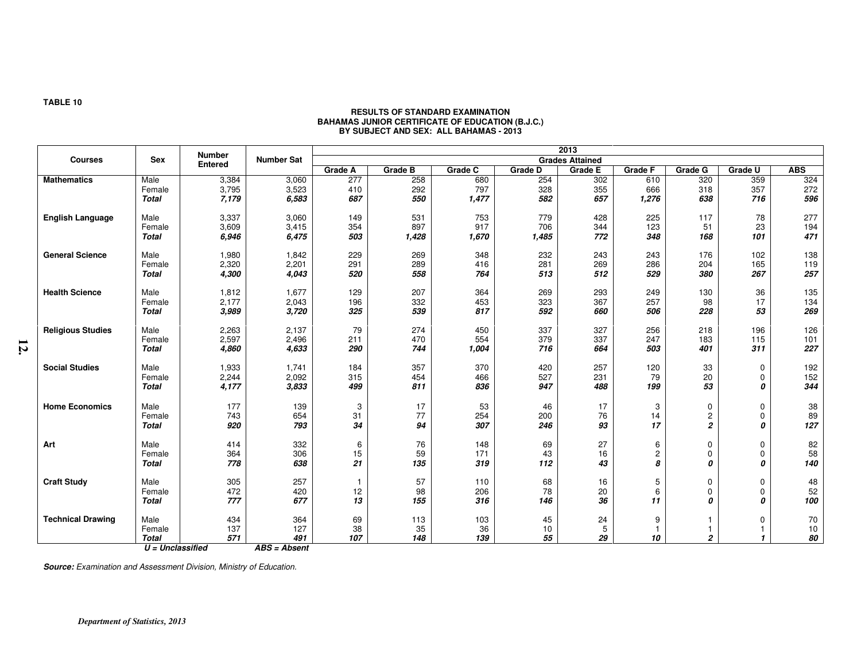|                          |                    | <b>Number</b>  |                   | 2013<br><b>Grades Attained</b> |                |         |                |                |                |                |                  |            |
|--------------------------|--------------------|----------------|-------------------|--------------------------------|----------------|---------|----------------|----------------|----------------|----------------|------------------|------------|
| <b>Courses</b>           | <b>Sex</b>         | <b>Entered</b> | <b>Number Sat</b> |                                |                |         |                |                |                |                |                  |            |
|                          |                    |                |                   | <b>Grade A</b>                 | <b>Grade B</b> | Grade C | <b>Grade D</b> | <b>Grade E</b> | <b>Grade F</b> | <b>Grade G</b> | Grade U          | <b>ABS</b> |
| <b>Mathematics</b>       | Male               | 3,384          | 3,060             | 277                            | 258            | 680     | 254            | 302            | 610            | 320            | 359              | 324        |
|                          | Female             | 3,795          | 3,523             | 410                            | 292            | 797     | 328            | 355            | 666            | 318            | 357              | 272        |
|                          | <b>Total</b>       | 7,179          | 6,583             | 687                            | 550            | 1,477   | 582            | 657            | 1,276          | 638            | 716              | 596        |
|                          |                    |                |                   |                                |                |         |                |                |                |                |                  |            |
| <b>English Language</b>  | Male               | 3,337          | 3,060             | 149                            | 531            | 753     | 779            | 428            | 225            | 117            | 78               | 277        |
|                          | Female             | 3,609          | 3,415             | 354                            | 897            | 917     | 706            | 344            | 123            | 51             | 23               | 194        |
|                          | <b>Total</b>       | 6,946          | 6,475             | 503                            | 1,428          | 1,670   | 1,485          | 772            | 348            | 168            | 101              | 471        |
| <b>General Science</b>   | Male               | 1,980          | 1,842             | 229                            | 269            | 348     | 232            | 243            | 243            | 176            | 102              | 138        |
|                          | Female             | 2,320          | 2,201             | 291                            | 289            | 416     | 281            | 269            | 286            | 204            | 165              | 119        |
|                          | <b>Total</b>       | 4,300          | 4,043             | 520                            | 558            | 764     | 513            | 512            | 529            | 380            | 267              | 257        |
|                          |                    |                |                   |                                |                |         |                |                |                |                |                  |            |
| <b>Health Science</b>    | Male               | 1,812          | 1,677             | 129                            | 207            | 364     | 269            | 293            | 249            | 130            | 36               | 135        |
|                          | Female             | 2,177          | 2,043             | 196                            | 332            | 453     | 323            | 367            | 257            | 98             | 17               | 134        |
|                          | <b>Total</b>       | 3,989          | 3,720             | 325                            | 539            | 817     | 592            | 660            | 506            | 228            | 53               | 269        |
|                          |                    |                |                   |                                |                |         |                |                |                |                |                  |            |
| <b>Religious Studies</b> | Male               | 2,263          | 2,137             | 79                             | 274            | 450     | 337            | 327            | 256            | 218            | 196              | 126        |
|                          | Female             | 2,597          | 2,496             | 211                            | 470            | 554     | 379            | 337            | 247            | 183            | 115              | 101        |
|                          | <b>Total</b>       | 4,860          | 4,633             | 290                            | 744            | 1,004   | 716            | 664            | 503            | 401            | 311              | 227        |
| <b>Social Studies</b>    | Male               | 1,933          | 1,741             | 184                            | 357            | 370     | 420            | 257            | 120            | 33             | 0                | 192        |
|                          | Female             | 2,244          | 2,092             | 315                            | 454            | 466     | 527            | 231            | 79             | 20             | 0                | 152        |
|                          | <b>Total</b>       | 4,177          | 3,833             | 499                            | 811            | 836     | 947            | 488            | 199            | 53             | 0                | 344        |
|                          |                    |                |                   |                                |                |         |                |                |                |                |                  |            |
| <b>Home Economics</b>    | Male               | 177            | 139               | 3                              | 17             | 53      | 46             | 17             | 3              | 0              | 0                | 38         |
|                          | Female             | 743            | 654               | 31                             | 77             | 254     | 200            | 76             | 14             | 2              | $\mathbf 0$      | 89         |
|                          | <b>Total</b>       | 920            | 793               | 34                             | 94             | 307     | 246            | 93             | 17             | 2              | 0                | 127        |
|                          |                    |                |                   |                                |                |         |                |                |                |                |                  |            |
| Art                      | Male               | 414            | 332               | 6                              | 76             | 148     | 69             | 27             | 6              | $\mathbf 0$    | 0                | 82<br>58   |
|                          | Female             | 364            | 306               | 15                             | 59             | 171     | 43             | 16             | $\overline{c}$ | 0              | $\mathbf 0$      |            |
|                          | <b>Total</b>       | 778            | 638               | 21                             | 135            | 319     | 112            | 43             | 8              | 0              | 0                | 140        |
| <b>Craft Study</b>       | Male               | 305            | 257               |                                | 57             | 110     | 68             | 16             | 5              |                |                  | 48         |
|                          |                    | 472            |                   |                                |                |         |                |                |                | 0              | 0                | 52         |
|                          | Female             |                | 420               | 12                             | 98             | 206     | 78             | 20             | 6              | 0              | 0                |            |
|                          | <b>Total</b>       | 777            | 677               | 13                             | 155            | 316     | 146            | 36             | 11             | 0              | $\boldsymbol{0}$ | 100        |
| <b>Technical Drawing</b> | Male               | 434            | 364               | 69                             | 113            | 103     | 45             | 24             | 9              |                | 0                | 70         |
|                          | Female             | 137            | 127               | 38                             | 35             | 36      | 10             | 5              |                | 1              |                  | $10$       |
|                          | <b>Total</b>       | 571            | 491               | 107                            | 148            | 139     | 55             | 29             | 10             | $\overline{2}$ |                  | 80         |
|                          | $U =$ Unclassified |                | ABS = Absent      |                                |                |         |                |                |                |                |                  |            |

# **RESULTS OF STANDARD EXAMINATION BAHAMAS JUNIOR CERTIFICATE OF EDUCATION (B.J.C.) BY SUBJECT AND SEX: ALL BAHAMAS - 2013**

**Source:** Examination and Assessment Division, Ministry of Education.

#### **TABLE 10**